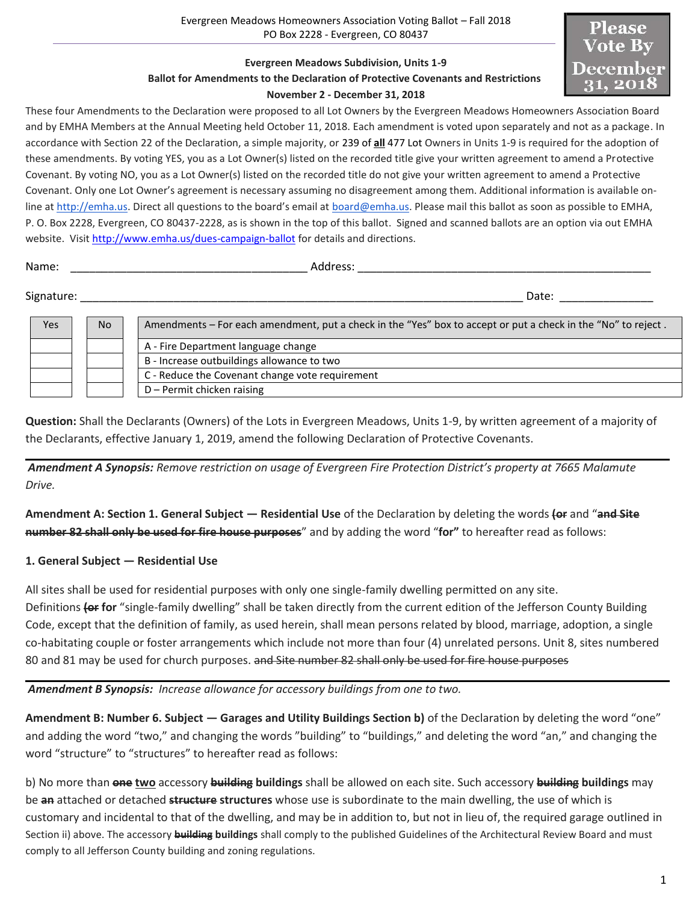## **Evergreen Meadows Subdivision, Units 1-9 Ballot for Amendments to the Declaration of Protective Covenants and Restrictions November 2 - December 31, 2018**



These four Amendments to the Declaration were proposed to all Lot Owners by the Evergreen Meadows Homeowners Association Board and by EMHA Members at the Annual Meeting held October 11, 2018. Each amendment is voted upon separately and not as a package. In accordance with Section 22 of the Declaration, a simple majority, or 239 of **all** 477 Lot Owners in Units 1-9 is required for the adoption of these amendments. By voting YES, you as a Lot Owner(s) listed on the recorded title give your written agreement to amend a Protective Covenant. By voting NO, you as a Lot Owner(s) listed on the recorded title do not give your written agreement to amend a Protective Covenant. Only one Lot Owner's agreement is necessary assuming no disagreement among them. Additional information is available online at [http://emha.us](http://emha.us/). Direct all questions to the board's email at [board@emha.us.](mailto:board@emha.us) Please mail this ballot as soon as possible to EMHA, P. O. Box 2228, Evergreen, CO 80437-2228, as is shown in the top of this ballot. Signed and scanned ballots are an option via out EMHA website. Visit<http://www.emha.us/dues-campaign-ballot> for details and directions.

| Name:      | Address: |       |
|------------|----------|-------|
| Signature: |          | Date: |

| Yes | <b>No</b> | Amendments – For each amendment, put a check in the "Yes" box to accept or put a check in the "No" to reject. |  |
|-----|-----------|---------------------------------------------------------------------------------------------------------------|--|
|     |           | A - Fire Department language change                                                                           |  |
|     |           | B - Increase outbuildings allowance to two                                                                    |  |
|     |           | C - Reduce the Covenant change vote requirement                                                               |  |
|     |           | D - Permit chicken raising                                                                                    |  |

**Question:** Shall the Declarants (Owners) of the Lots in Evergreen Meadows, Units 1-9, by written agreement of a majority of the Declarants, effective January 1, 2019, amend the following Declaration of Protective Covenants.

*Amendment A Synopsis: Remove restriction on usage of Evergreen Fire Protection District's property at 7665 Malamute Drive.*

**Amendment A: Section 1. General Subject — Residential Use** of the Declaration by deleting the words **(or** and "**and Site number 82 shall only be used for fire house purposes**" and by adding the word "**for"** to hereafter read as follows:

# **1. General Subject — Residential Use**

All sites shall be used for residential purposes with only one single-family dwelling permitted on any site.

Definitions **(or for** "single-family dwelling" shall be taken directly from the current edition of the Jefferson County Building Code, except that the definition of family, as used herein, shall mean persons related by blood, marriage, adoption, a single co-habitating couple or foster arrangements which include not more than four (4) unrelated persons. Unit 8, sites numbered 80 and 81 may be used for church purposes. and Site number 82 shall only be used for fire house purposes

*Amendment B Synopsis: Increase allowance for accessory buildings from one to two.*

**Amendment B: Number 6. Subject — Garages and Utility Buildings Section b)** of the Declaration by deleting the word "one" and adding the word "two," and changing the words "building" to "buildings," and deleting the word "an," and changing the word "structure" to "structures" to hereafter read as follows:

b) No more than **one two** accessory **building buildings** shall be allowed on each site. Such accessory **building buildings** may be **an** attached or detached **structure structures** whose use is subordinate to the main dwelling, the use of which is customary and incidental to that of the dwelling, and may be in addition to, but not in lieu of, the required garage outlined in Section ii) above. The accessory **building buildings** shall comply to the published Guidelines of the Architectural Review Board and must comply to all Jefferson County building and zoning regulations.